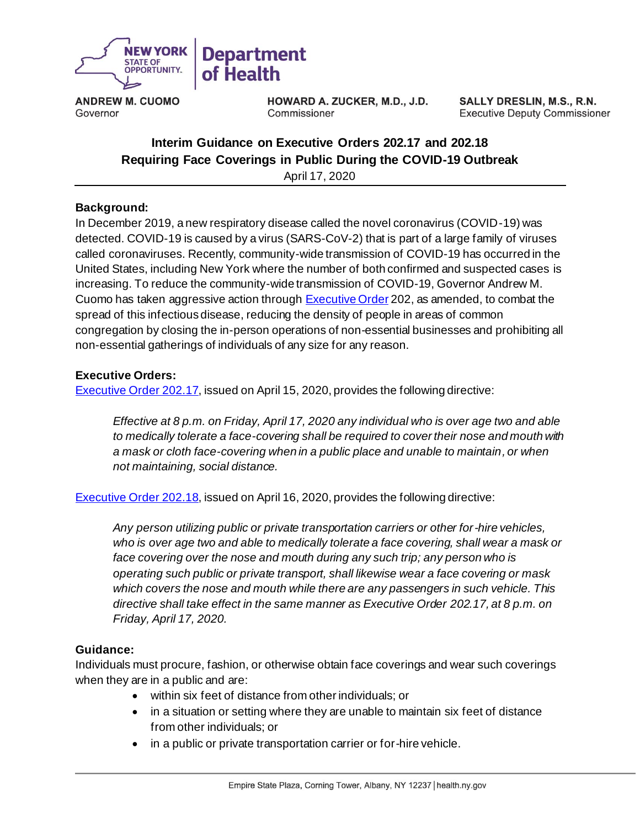

**ANDREW M. CUOMO** Governor

HOWARD A. ZUCKER, M.D., J.D. Commissioner

**SALLY DRESLIN, M.S., R.N. Executive Deputy Commissioner** 

# **Interim Guidance on Executive Orders 202.17 and 202.18 Requiring Face Coverings in Public During the COVID-19 Outbreak**

April 17, 2020

### **Background:**

In December 2019, a new respiratory disease called the novel coronavirus (COVID-19) was detected. COVID-19 is caused by a virus (SARS-CoV-2) that is part of a large family of viruses called coronaviruses. Recently, community-wide transmission of COVID-19 has occurred in the United States, including New York where the number of both confirmed and suspected cases is increasing. To reduce the community-wide transmission of COVID-19, Governor Andrew M. Cuomo has taken aggressive action throug[h Executive Order](https://www.governor.ny.gov/executiveorders) 202, as amended, to combat the spread of this infectious disease, reducing the density of people in areas of common congregation by closing the in-person operations of non-essential businesses and prohibiting all non-essential gatherings of individuals of any size for any reason.

### **Executive Orders:**

[Executive Order 202.17,](https://www.governor.ny.gov/news/no-20217-continuing-temporary-suspension-and-modification-laws-relating-disaster-emergency) issued on April 15, 2020, provides the following directive:

*Effective at 8 p.m. on Friday, April 17, 2020 any individual who is over age two and able to medically tolerate a face-covering shall be required to cover their nose and mouth with a mask or cloth face-covering when in a public place and unable to maintain, or when not maintaining, social distance.* 

[Executive Order 202.18,](https://www.governor.ny.gov/news/no-20218-continuing-temporary-suspension-and-modification-laws-relating-disaster-emergency) issued on April 16, 2020, provides the following directive:

*Any person utilizing public or private transportation carriers or other for-hire vehicles, who is over age two and able to medically tolerate a face covering, shall wear a mask or face covering over the nose and mouth during any such trip; any person who is operating such public or private transport, shall likewise wear a face covering or mask which covers the nose and mouth while there are any passengers in such vehicle. This directive shall take effect in the same manner as Executive Order 202.17, at 8 p.m. on Friday, April 17, 2020.*

#### **Guidance:**

Individuals must procure, fashion, or otherwise obtain face coverings and wear such coverings when they are in a public and are:

- within six feet of distance from other individuals; or
- in a situation or setting where they are unable to maintain six feet of distance from other individuals; or
- in a public or private transportation carrier or for-hire vehicle.